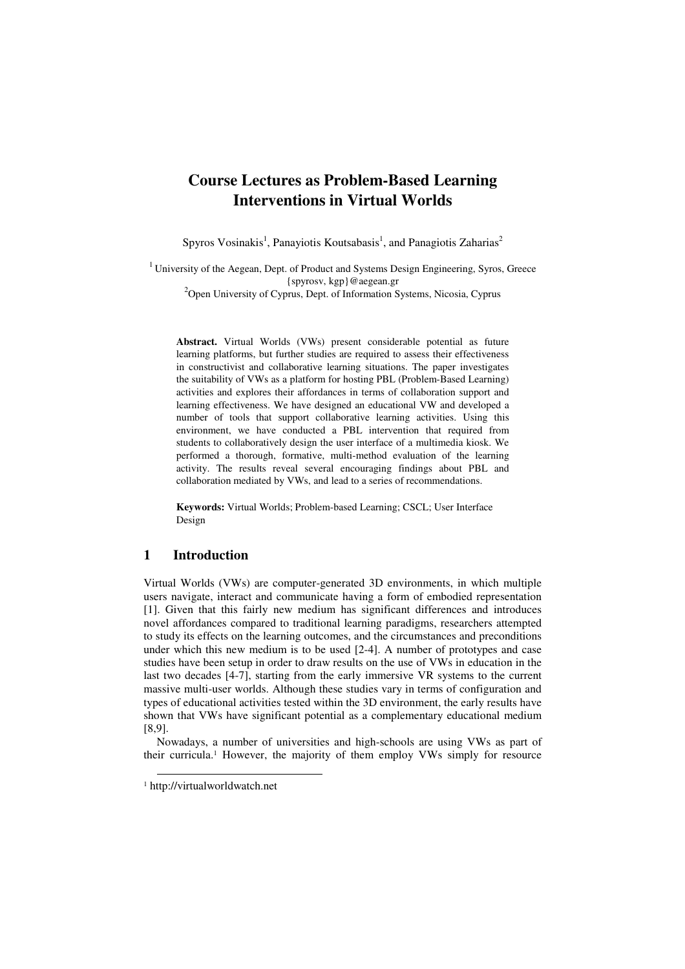# **Course Lectures as Problem-Based Learning Interventions in Virtual Worlds**

Spyros Vosinakis<sup>1</sup>, Panayiotis Koutsabasis<sup>1</sup>, and Panagiotis Zaharias<sup>2</sup>

 $1$  University of the Aegean, Dept. of Product and Systems Design Engineering, Syros, Greece {spyrosv, kgp}@aegean.gr

 $2$ Open University of Cyprus, Dept. of Information Systems, Nicosia, Cyprus

**Abstract.** Virtual Worlds (VWs) present considerable potential as future learning platforms, but further studies are required to assess their effectiveness in constructivist and collaborative learning situations. The paper investigates the suitability of VWs as a platform for hosting PBL (Problem-Based Learning) activities and explores their affordances in terms of collaboration support and learning effectiveness. We have designed an educational VW and developed a number of tools that support collaborative learning activities. Using this environment, we have conducted a PBL intervention that required from students to collaboratively design the user interface of a multimedia kiosk. We performed a thorough, formative, multi-method evaluation of the learning activity. The results reveal several encouraging findings about PBL and collaboration mediated by VWs, and lead to a series of recommendations.

**Keywords:** Virtual Worlds; Problem-based Learning; CSCL; User Interface Design

## **1 Introduction**

Virtual Worlds (VWs) are computer-generated 3D environments, in which multiple users navigate, interact and communicate having a form of embodied representation [1]. Given that this fairly new medium has significant differences and introduces novel affordances compared to traditional learning paradigms, researchers attempted to study its effects on the learning outcomes, and the circumstances and preconditions under which this new medium is to be used [2-4]. A number of prototypes and case studies have been setup in order to draw results on the use of VWs in education in the last two decades [4-7], starting from the early immersive VR systems to the current massive multi-user worlds. Although these studies vary in terms of configuration and types of educational activities tested within the 3D environment, the early results have shown that VWs have significant potential as a complementary educational medium [8,9].

Nowadays, a number of universities and high-schools are using VWs as part of their curricula.<sup>1</sup> However, the majority of them employ VWs simply for resource

 $\overline{a}$ 

<sup>1</sup> http://virtualworldwatch.net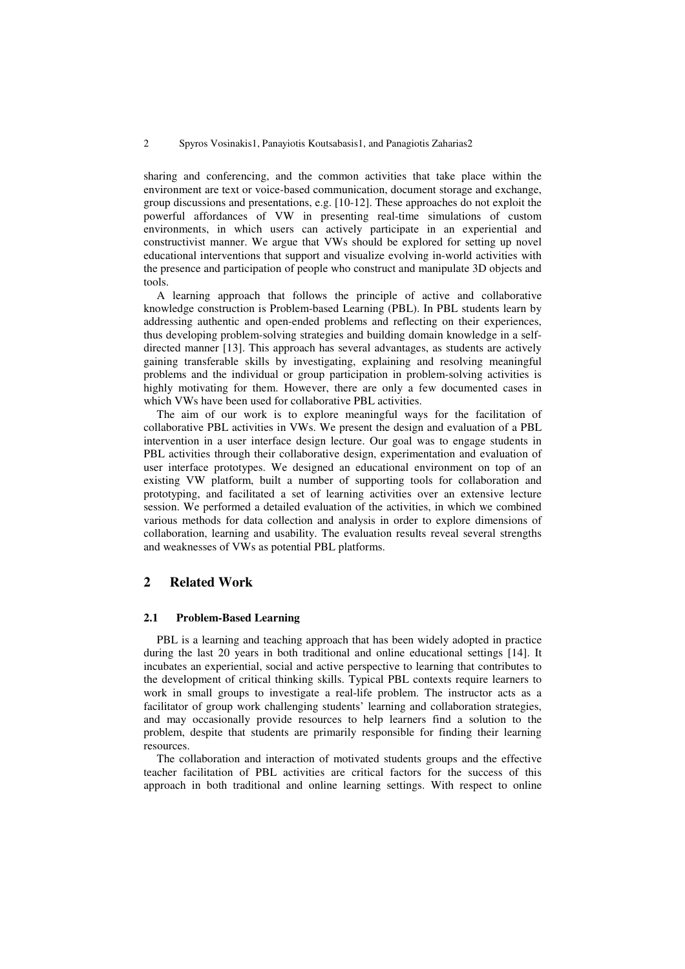sharing and conferencing, and the common activities that take place within the environment are text or voice-based communication, document storage and exchange, group discussions and presentations, e.g. [10-12]. These approaches do not exploit the powerful affordances of VW in presenting real-time simulations of custom environments, in which users can actively participate in an experiential and constructivist manner. We argue that VWs should be explored for setting up novel educational interventions that support and visualize evolving in-world activities with the presence and participation of people who construct and manipulate 3D objects and tools.

A learning approach that follows the principle of active and collaborative knowledge construction is Problem-based Learning (PBL). In PBL students learn by addressing authentic and open-ended problems and reflecting on their experiences, thus developing problem-solving strategies and building domain knowledge in a selfdirected manner [13]. This approach has several advantages, as students are actively gaining transferable skills by investigating, explaining and resolving meaningful problems and the individual or group participation in problem-solving activities is highly motivating for them. However, there are only a few documented cases in which VWs have been used for collaborative PBL activities.

The aim of our work is to explore meaningful ways for the facilitation of collaborative PBL activities in VWs. We present the design and evaluation of a PBL intervention in a user interface design lecture. Our goal was to engage students in PBL activities through their collaborative design, experimentation and evaluation of user interface prototypes. We designed an educational environment on top of an existing VW platform, built a number of supporting tools for collaboration and prototyping, and facilitated a set of learning activities over an extensive lecture session. We performed a detailed evaluation of the activities, in which we combined various methods for data collection and analysis in order to explore dimensions of collaboration, learning and usability. The evaluation results reveal several strengths and weaknesses of VWs as potential PBL platforms.

### **2 Related Work**

#### **2.1 Problem-Based Learning**

PBL is a learning and teaching approach that has been widely adopted in practice during the last 20 years in both traditional and online educational settings [14]. It incubates an experiential, social and active perspective to learning that contributes to the development of critical thinking skills. Typical PBL contexts require learners to work in small groups to investigate a real-life problem. The instructor acts as a facilitator of group work challenging students' learning and collaboration strategies, and may occasionally provide resources to help learners find a solution to the problem, despite that students are primarily responsible for finding their learning resources.

The collaboration and interaction of motivated students groups and the effective teacher facilitation of PBL activities are critical factors for the success of this approach in both traditional and online learning settings. With respect to online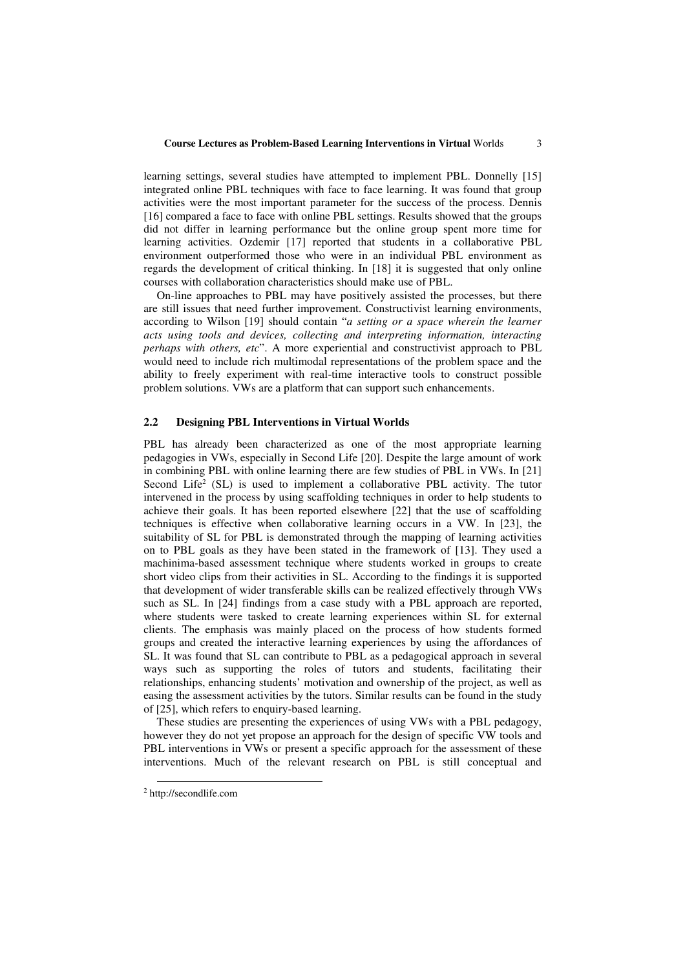learning settings, several studies have attempted to implement PBL. Donnelly [15] integrated online PBL techniques with face to face learning. It was found that group activities were the most important parameter for the success of the process. Dennis [16] compared a face to face with online PBL settings. Results showed that the groups did not differ in learning performance but the online group spent more time for learning activities. Ozdemir [17] reported that students in a collaborative PBL environment outperformed those who were in an individual PBL environment as regards the development of critical thinking. In [18] it is suggested that only online courses with collaboration characteristics should make use of PBL.

On-line approaches to PBL may have positively assisted the processes, but there are still issues that need further improvement. Constructivist learning environments, according to Wilson [19] should contain "*a setting or a space wherein the learner acts using tools and devices, collecting and interpreting information, interacting perhaps with others, etc*". A more experiential and constructivist approach to PBL would need to include rich multimodal representations of the problem space and the ability to freely experiment with real-time interactive tools to construct possible problem solutions. VWs are a platform that can support such enhancements.

### **2.2 Designing PBL Interventions in Virtual Worlds**

PBL has already been characterized as one of the most appropriate learning pedagogies in VWs, especially in Second Life [20]. Despite the large amount of work in combining PBL with online learning there are few studies of PBL in VWs. In [21] Second Life<sup>2</sup> (SL) is used to implement a collaborative PBL activity. The tutor intervened in the process by using scaffolding techniques in order to help students to achieve their goals. It has been reported elsewhere [22] that the use of scaffolding techniques is effective when collaborative learning occurs in a VW. In [23], the suitability of SL for PBL is demonstrated through the mapping of learning activities on to PBL goals as they have been stated in the framework of [13]. They used a machinima-based assessment technique where students worked in groups to create short video clips from their activities in SL. According to the findings it is supported that development of wider transferable skills can be realized effectively through VWs such as SL. In [24] findings from a case study with a PBL approach are reported, where students were tasked to create learning experiences within SL for external clients. The emphasis was mainly placed on the process of how students formed groups and created the interactive learning experiences by using the affordances of SL. It was found that SL can contribute to PBL as a pedagogical approach in several ways such as supporting the roles of tutors and students, facilitating their relationships, enhancing students' motivation and ownership of the project, as well as easing the assessment activities by the tutors. Similar results can be found in the study of [25], which refers to enquiry-based learning.

These studies are presenting the experiences of using VWs with a PBL pedagogy, however they do not yet propose an approach for the design of specific VW tools and PBL interventions in VWs or present a specific approach for the assessment of these interventions. Much of the relevant research on PBL is still conceptual and

 $\overline{a}$ 

<sup>2</sup> http://secondlife.com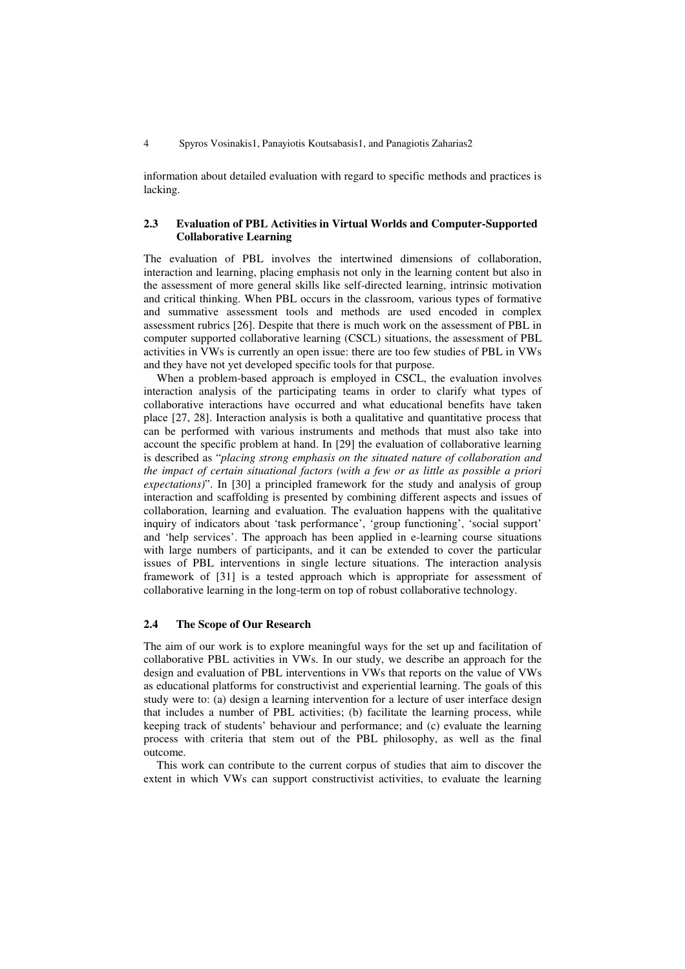information about detailed evaluation with regard to specific methods and practices is lacking.

## **2.3 Evaluation of PBL Activities in Virtual Worlds and Computer-Supported Collaborative Learning**

The evaluation of PBL involves the intertwined dimensions of collaboration, interaction and learning, placing emphasis not only in the learning content but also in the assessment of more general skills like self-directed learning, intrinsic motivation and critical thinking. When PBL occurs in the classroom, various types of formative and summative assessment tools and methods are used encoded in complex assessment rubrics [26]. Despite that there is much work on the assessment of PBL in computer supported collaborative learning (CSCL) situations, the assessment of PBL activities in VWs is currently an open issue: there are too few studies of PBL in VWs and they have not yet developed specific tools for that purpose.

When a problem-based approach is employed in CSCL, the evaluation involves interaction analysis of the participating teams in order to clarify what types of collaborative interactions have occurred and what educational benefits have taken place [27, 28]. Interaction analysis is both a qualitative and quantitative process that can be performed with various instruments and methods that must also take into account the specific problem at hand. In [29] the evaluation of collaborative learning is described as "*placing strong emphasis on the situated nature of collaboration and the impact of certain situational factors (with a few or as little as possible a priori expectations)*". In [30] a principled framework for the study and analysis of group interaction and scaffolding is presented by combining different aspects and issues of collaboration, learning and evaluation. The evaluation happens with the qualitative inquiry of indicators about 'task performance', 'group functioning', 'social support' and 'help services'. The approach has been applied in e-learning course situations with large numbers of participants, and it can be extended to cover the particular issues of PBL interventions in single lecture situations. The interaction analysis framework of [31] is a tested approach which is appropriate for assessment of collaborative learning in the long-term on top of robust collaborative technology.

### **2.4 The Scope of Our Research**

The aim of our work is to explore meaningful ways for the set up and facilitation of collaborative PBL activities in VWs. In our study, we describe an approach for the design and evaluation of PBL interventions in VWs that reports on the value of VWs as educational platforms for constructivist and experiential learning. The goals of this study were to: (a) design a learning intervention for a lecture of user interface design that includes a number of PBL activities; (b) facilitate the learning process, while keeping track of students' behaviour and performance; and (c) evaluate the learning process with criteria that stem out of the PBL philosophy, as well as the final outcome.

This work can contribute to the current corpus of studies that aim to discover the extent in which VWs can support constructivist activities, to evaluate the learning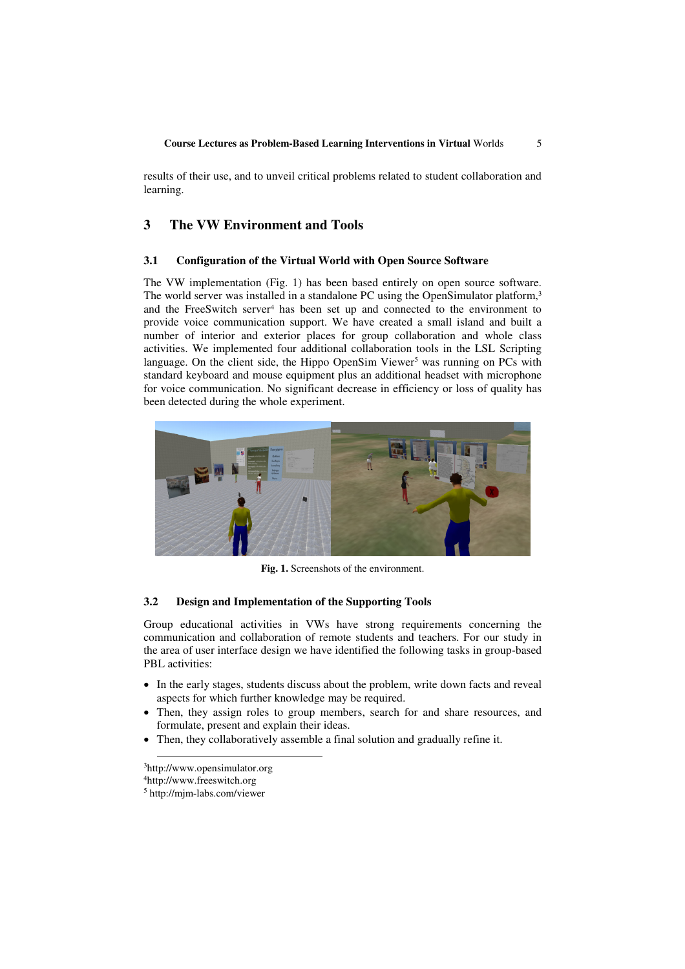results of their use, and to unveil critical problems related to student collaboration and learning.

## **3 The VW Environment and Tools**

### **3.1 Configuration of the Virtual World with Open Source Software**

The VW implementation (Fig. 1) has been based entirely on open source software. The world server was installed in a standalone PC using the OpenSimulator platform,<sup>3</sup> and the FreeSwitch server<sup>4</sup> has been set up and connected to the environment to provide voice communication support. We have created a small island and built a number of interior and exterior places for group collaboration and whole class activities. We implemented four additional collaboration tools in the LSL Scripting language. On the client side, the Hippo OpenSim Viewer<sup>5</sup> was running on PCs with standard keyboard and mouse equipment plus an additional headset with microphone for voice communication. No significant decrease in efficiency or loss of quality has been detected during the whole experiment.



**Fig. 1.** Screenshots of the environment.

### **3.2 Design and Implementation of the Supporting Tools**

Group educational activities in VWs have strong requirements concerning the communication and collaboration of remote students and teachers. For our study in the area of user interface design we have identified the following tasks in group-based PBL activities:

- In the early stages, students discuss about the problem, write down facts and reveal aspects for which further knowledge may be required.
- Then, they assign roles to group members, search for and share resources, and formulate, present and explain their ideas.
- Then, they collaboratively assemble a final solution and gradually refine it.

<sup>3</sup>http://www.opensimulator.org

 $\overline{a}$ 

<sup>4</sup>http://www.freeswitch.org

<sup>5</sup> http://mjm-labs.com/viewer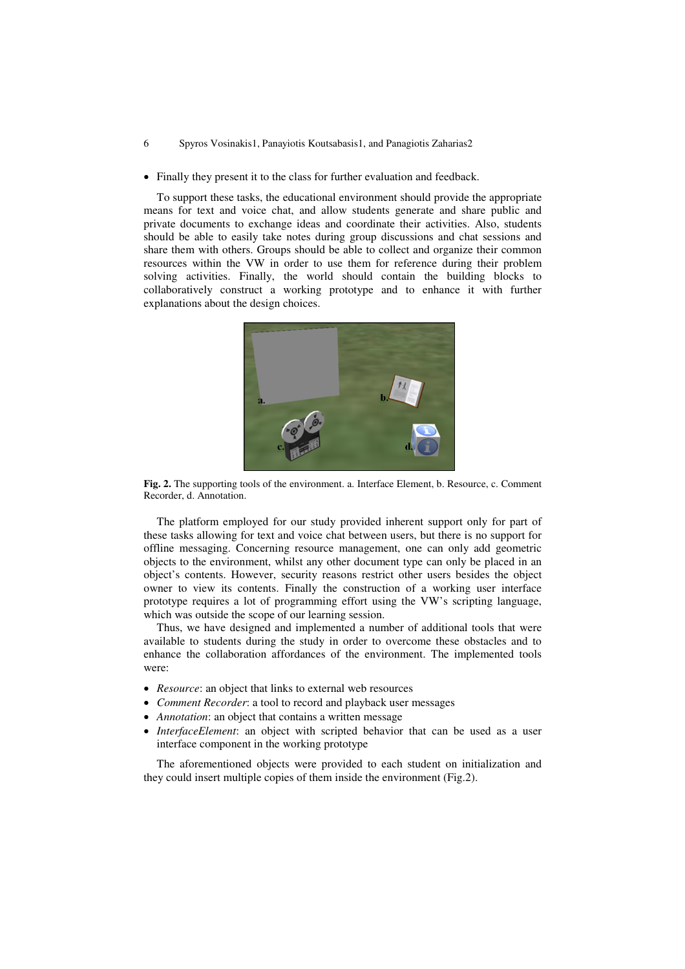#### 6 Spyros Vosinakis1, Panayiotis Koutsabasis1, and Panagiotis Zaharias2

• Finally they present it to the class for further evaluation and feedback.

To support these tasks, the educational environment should provide the appropriate means for text and voice chat, and allow students generate and share public and private documents to exchange ideas and coordinate their activities. Also, students should be able to easily take notes during group discussions and chat sessions and share them with others. Groups should be able to collect and organize their common resources within the VW in order to use them for reference during their problem solving activities. Finally, the world should contain the building blocks to collaboratively construct a working prototype and to enhance it with further explanations about the design choices.



**Fig. 2.** The supporting tools of the environment. a. Interface Element, b. Resource, c. Comment Recorder, d. Annotation.

The platform employed for our study provided inherent support only for part of these tasks allowing for text and voice chat between users, but there is no support for offline messaging. Concerning resource management, one can only add geometric objects to the environment, whilst any other document type can only be placed in an object's contents. However, security reasons restrict other users besides the object owner to view its contents. Finally the construction of a working user interface prototype requires a lot of programming effort using the VW's scripting language, which was outside the scope of our learning session.

Thus, we have designed and implemented a number of additional tools that were available to students during the study in order to overcome these obstacles and to enhance the collaboration affordances of the environment. The implemented tools were:

- *Resource*: an object that links to external web resources
- *Comment Recorder*: a tool to record and playback user messages
- *Annotation*: an object that contains a written message
- *InterfaceElement*: an object with scripted behavior that can be used as a user interface component in the working prototype

The aforementioned objects were provided to each student on initialization and they could insert multiple copies of them inside the environment (Fig.2).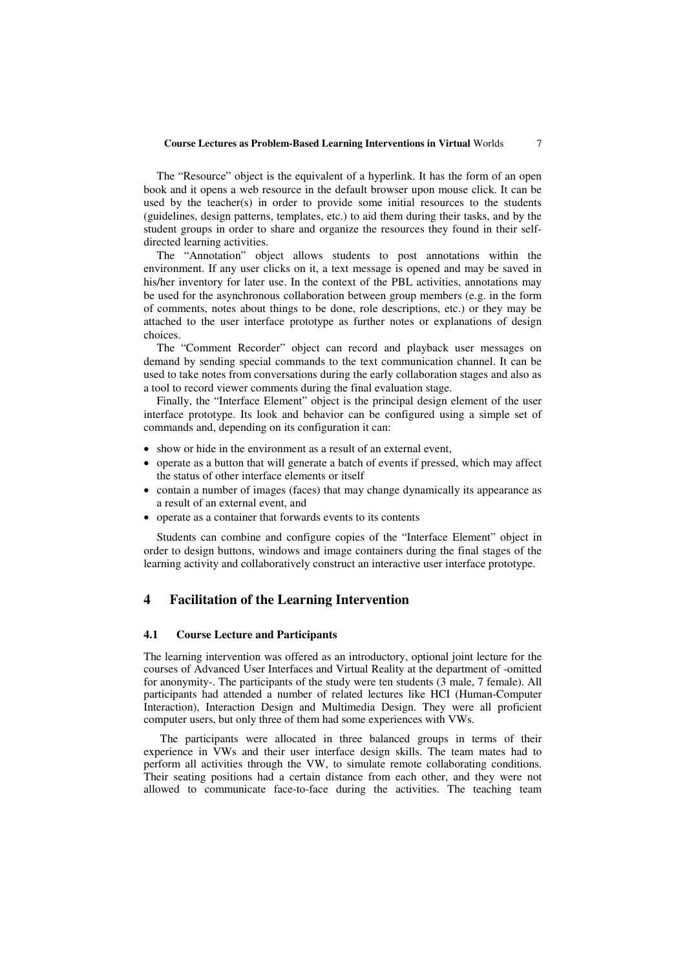#### **Course Lectures as Problem-Based Learning Interventions in Virtual** Worlds 7

The "Resource" object is the equivalent of a hyperlink. It has the form of an open book and it opens a web resource in the default browser upon mouse click. It can be used by the teacher(s) in order to provide some initial resources to the students (guidelines, design patterns, templates, etc.) to aid them during their tasks, and by the student groups in order to share and organize the resources they found in their selfdirected learning activities.

The "Annotation" object allows students to post annotations within the environment. If any user clicks on it, a text message is opened and may be saved in his/her inventory for later use. In the context of the PBL activities, annotations may be used for the asynchronous collaboration between group members (e.g. in the form of comments, notes about things to be done, role descriptions, etc.) or they may be attached to the user interface prototype as further notes or explanations of design choices.

The "Comment Recorder" object can record and playback user messages on demand by sending special commands to the text communication channel. It can be used to take notes from conversations during the early collaboration stages and also as a tool to record viewer comments during the final evaluation stage.

Finally, the "Interface Element" object is the principal design element of the user interface prototype. Its look and behavior can be configured using a simple set of commands and, depending on its configuration it can:

- show or hide in the environment as a result of an external event.
- operate as a button that will generate a batch of events if pressed, which may affect the status of other interface elements or itself
- contain a number of images (faces) that may change dynamically its appearance as a result of an external event, and
- operate as a container that forwards events to its contents

Students can combine and configure copies of the "Interface Element" object in order to design buttons, windows and image containers during the final stages of the learning activity and collaboratively construct an interactive user interface prototype.

## **4 Facilitation of the Learning Intervention**

## **4.1 Course Lecture and Participants**

The learning intervention was offered as an introductory, optional joint lecture for the courses of Advanced User Interfaces and Virtual Reality at the department of -omitted for anonymity-. The participants of the study were ten students (3 male, 7 female). All participants had attended a number of related lectures like HCI (Human-Computer Interaction), Interaction Design and Multimedia Design. They were all proficient computer users, but only three of them had some experiences with VWs.

The participants were allocated in three balanced groups in terms of their experience in VWs and their user interface design skills. The team mates had to perform all activities through the VW, to simulate remote collaborating conditions. Their seating positions had a certain distance from each other, and they were not allowed to communicate face-to-face during the activities. The teaching team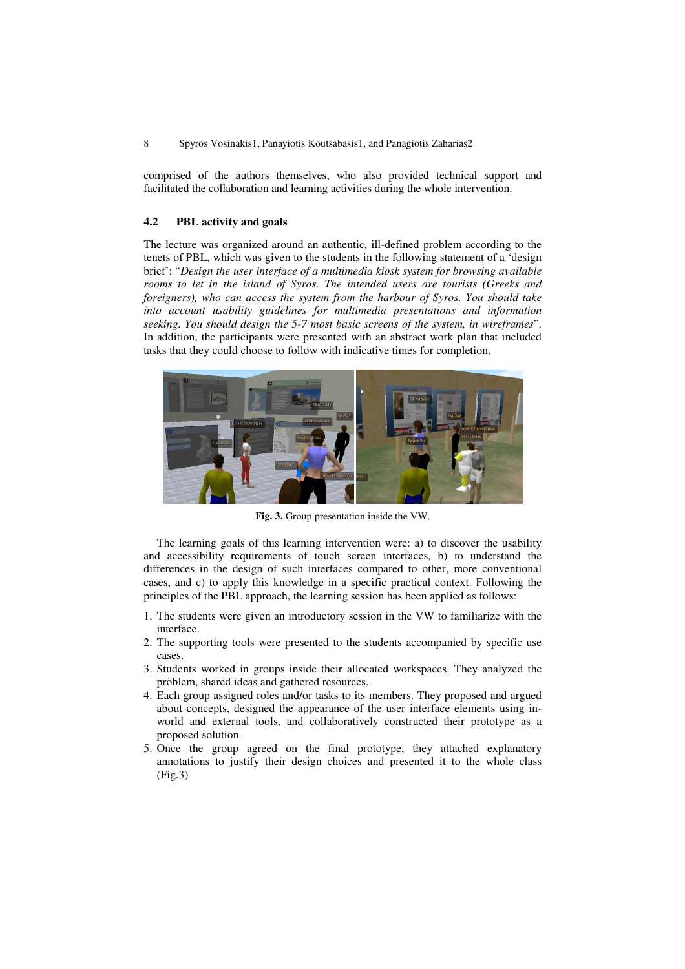comprised of the authors themselves, who also provided technical support and facilitated the collaboration and learning activities during the whole intervention.

### **4.2 PBL activity and goals**

The lecture was organized around an authentic, ill-defined problem according to the tenets of PBL, which was given to the students in the following statement of a 'design brief': "*Design the user interface of a multimedia kiosk system for browsing available rooms to let in the island of Syros. The intended users are tourists (Greeks and foreigners), who can access the system from the harbour of Syros. You should take into account usability guidelines for multimedia presentations and information seeking. You should design the 5-7 most basic screens of the system, in wireframes*". In addition, the participants were presented with an abstract work plan that included tasks that they could choose to follow with indicative times for completion.



**Fig. 3.** Group presentation inside the VW.

The learning goals of this learning intervention were: a) to discover the usability and accessibility requirements of touch screen interfaces, b) to understand the differences in the design of such interfaces compared to other, more conventional cases, and c) to apply this knowledge in a specific practical context. Following the principles of the PBL approach, the learning session has been applied as follows:

- 1. The students were given an introductory session in the VW to familiarize with the interface.
- 2. The supporting tools were presented to the students accompanied by specific use cases.
- 3. Students worked in groups inside their allocated workspaces. They analyzed the problem, shared ideas and gathered resources.
- 4. Each group assigned roles and/or tasks to its members. They proposed and argued about concepts, designed the appearance of the user interface elements using inworld and external tools, and collaboratively constructed their prototype as a proposed solution
- 5. Once the group agreed on the final prototype, they attached explanatory annotations to justify their design choices and presented it to the whole class (Fig.3)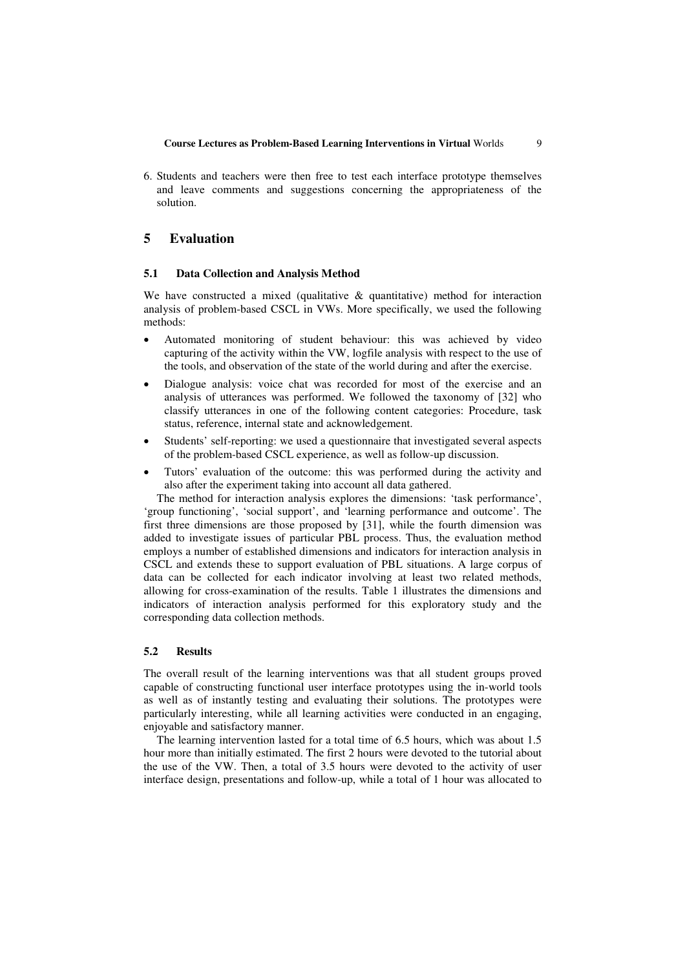6. Students and teachers were then free to test each interface prototype themselves and leave comments and suggestions concerning the appropriateness of the solution.

## **5 Evaluation**

#### **5.1 Data Collection and Analysis Method**

We have constructed a mixed (qualitative  $\&$  quantitative) method for interaction analysis of problem-based CSCL in VWs. More specifically, we used the following methods:

- Automated monitoring of student behaviour: this was achieved by video capturing of the activity within the VW, logfile analysis with respect to the use of the tools, and observation of the state of the world during and after the exercise.
- Dialogue analysis: voice chat was recorded for most of the exercise and an analysis of utterances was performed. We followed the taxonomy of [32] who classify utterances in one of the following content categories: Procedure, task status, reference, internal state and acknowledgement.
- Students' self-reporting: we used a questionnaire that investigated several aspects of the problem-based CSCL experience, as well as follow-up discussion.
- Tutors' evaluation of the outcome: this was performed during the activity and also after the experiment taking into account all data gathered.

The method for interaction analysis explores the dimensions: 'task performance', 'group functioning', 'social support', and 'learning performance and outcome'. The first three dimensions are those proposed by [31], while the fourth dimension was added to investigate issues of particular PBL process. Thus, the evaluation method employs a number of established dimensions and indicators for interaction analysis in CSCL and extends these to support evaluation of PBL situations. A large corpus of data can be collected for each indicator involving at least two related methods, allowing for cross-examination of the results. Table 1 illustrates the dimensions and indicators of interaction analysis performed for this exploratory study and the corresponding data collection methods.

## **5.2 Results**

The overall result of the learning interventions was that all student groups proved capable of constructing functional user interface prototypes using the in-world tools as well as of instantly testing and evaluating their solutions. The prototypes were particularly interesting, while all learning activities were conducted in an engaging, enjoyable and satisfactory manner.

The learning intervention lasted for a total time of 6.5 hours, which was about 1.5 hour more than initially estimated. The first 2 hours were devoted to the tutorial about the use of the VW. Then, a total of 3.5 hours were devoted to the activity of user interface design, presentations and follow-up, while a total of 1 hour was allocated to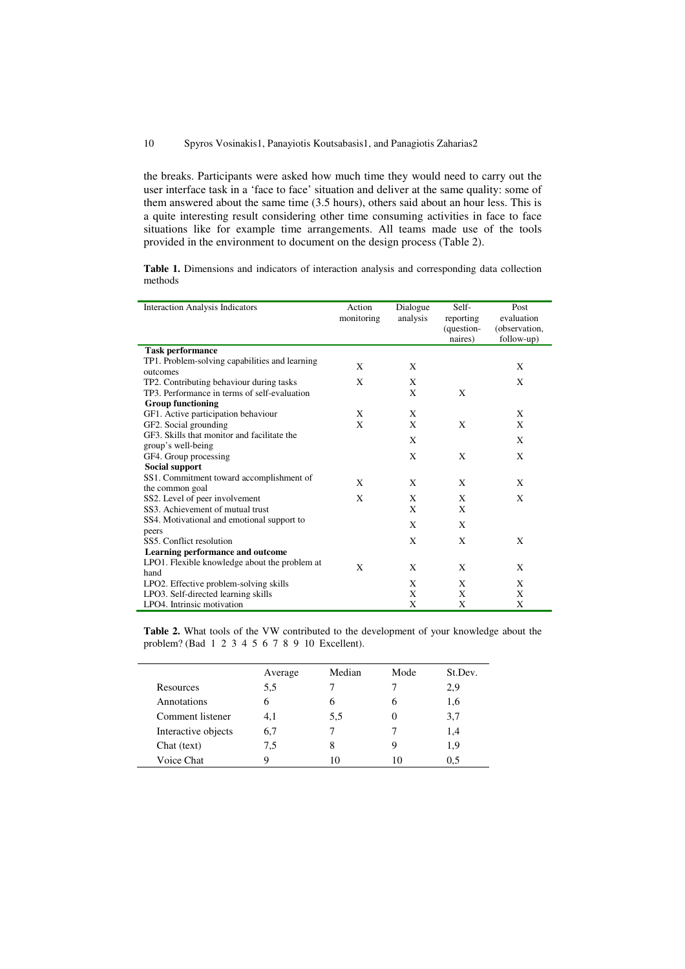## 10 Spyros Vosinakis1, Panayiotis Koutsabasis1, and Panagiotis Zaharias2

the breaks. Participants were asked how much time they would need to carry out the user interface task in a 'face to face' situation and deliver at the same quality: some of them answered about the same time (3.5 hours), others said about an hour less. This is a quite interesting result considering other time consuming activities in face to face situations like for example time arrangements. All teams made use of the tools provided in the environment to document on the design process (Table 2).

**Table 1.** Dimensions and indicators of interaction analysis and corresponding data collection methods

| Interaction Analysis Indicators                | Action<br>monitoring | Dialogue<br>analysis | Self-<br>reporting<br>(question-<br>naires) | Post<br>evaluation<br>(observation,<br>follow-up) |
|------------------------------------------------|----------------------|----------------------|---------------------------------------------|---------------------------------------------------|
| <b>Task performance</b>                        |                      |                      |                                             |                                                   |
| TP1. Problem-solving capabilities and learning | X                    | X                    |                                             | X                                                 |
| outcomes                                       |                      |                      |                                             |                                                   |
| TP2. Contributing behaviour during tasks       | X                    | X                    |                                             | X                                                 |
| TP3. Performance in terms of self-evaluation   |                      | X                    | X                                           |                                                   |
| <b>Group functioning</b>                       |                      |                      |                                             |                                                   |
| GF1. Active participation behaviour            | X                    | X                    |                                             | X                                                 |
| GF2. Social grounding                          | X                    | X                    | X                                           | X                                                 |
| GF3. Skills that monitor and facilitate the    |                      | X                    |                                             | X                                                 |
| group's well-being                             |                      |                      |                                             |                                                   |
| GF4. Group processing                          |                      | X                    | X                                           | X                                                 |
| Social support                                 |                      |                      |                                             |                                                   |
| SS1. Commitment toward accomplishment of       | X                    | X                    | X                                           | X                                                 |
| the common goal                                |                      |                      |                                             |                                                   |
| SS2. Level of peer involvement                 | X                    | X                    | X                                           | X                                                 |
| SS3. Achievement of mutual trust               |                      | X                    | X                                           |                                                   |
| SS4. Motivational and emotional support to     |                      | X                    | X                                           |                                                   |
| peers<br>SS5. Conflict resolution              |                      | X                    | X                                           | X                                                 |
| Learning performance and outcome               |                      |                      |                                             |                                                   |
| LPO1. Flexible knowledge about the problem at  |                      |                      |                                             |                                                   |
| hand                                           | X                    | X                    | X                                           | X                                                 |
| LPO2. Effective problem-solving skills         |                      | X                    | X                                           | X                                                 |
| LPO3. Self-directed learning skills            |                      | X                    | X                                           | X                                                 |
| LPO4. Intrinsic motivation                     |                      | X                    | X                                           | X                                                 |

**Table 2.** What tools of the VW contributed to the development of your knowledge about the problem? (Bad 1 2 3 4 5 6 7 8 9 10 Excellent).

|                     | Average | Median | Mode     | St.Dev. |
|---------------------|---------|--------|----------|---------|
| Resources           | 5,5     |        |          | 2,9     |
| Annotations         |         |        | 6        | 1,6     |
| Comment listener    | 4,1     | 5,5    | $\theta$ | 3,7     |
| Interactive objects | 6,7     |        |          | 1,4     |
| Chat (text)         | 7,5     | 8      | y        | 1.9     |
| Voice Chat          |         | I ( )  |          | 0.5     |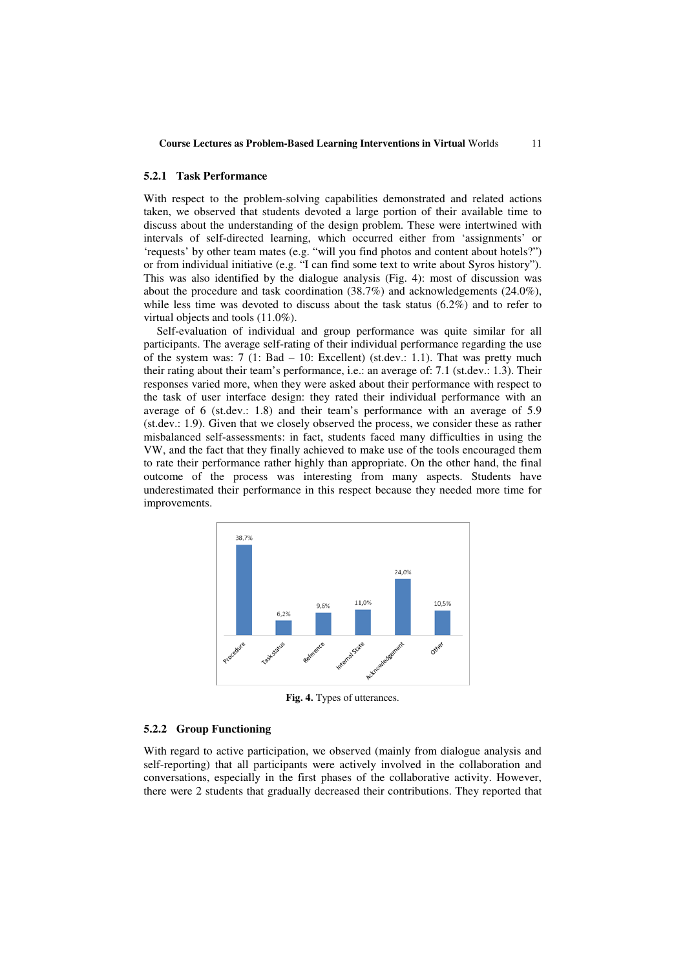#### **5.2.1 Task Performance**

With respect to the problem-solving capabilities demonstrated and related actions taken, we observed that students devoted a large portion of their available time to discuss about the understanding of the design problem. These were intertwined with intervals of self-directed learning, which occurred either from 'assignments' or 'requests' by other team mates (e.g. "will you find photos and content about hotels?") or from individual initiative (e.g. "I can find some text to write about Syros history"). This was also identified by the dialogue analysis (Fig. 4): most of discussion was about the procedure and task coordination (38.7%) and acknowledgements (24.0%), while less time was devoted to discuss about the task status (6.2%) and to refer to virtual objects and tools (11.0%).

Self-evaluation of individual and group performance was quite similar for all participants. The average self-rating of their individual performance regarding the use of the system was: 7 (1: Bad – 10: Excellent) (st.dev.: 1.1). That was pretty much their rating about their team's performance, i.e.: an average of: 7.1 (st.dev.: 1.3). Their responses varied more, when they were asked about their performance with respect to the task of user interface design: they rated their individual performance with an average of 6 (st.dev.: 1.8) and their team's performance with an average of 5.9 (st.dev.: 1.9). Given that we closely observed the process, we consider these as rather misbalanced self-assessments: in fact, students faced many difficulties in using the VW, and the fact that they finally achieved to make use of the tools encouraged them to rate their performance rather highly than appropriate. On the other hand, the final outcome of the process was interesting from many aspects. Students have underestimated their performance in this respect because they needed more time for improvements.



**Fig. 4.** Types of utterances.

#### **5.2.2 Group Functioning**

With regard to active participation, we observed (mainly from dialogue analysis and self-reporting) that all participants were actively involved in the collaboration and conversations, especially in the first phases of the collaborative activity. However, there were 2 students that gradually decreased their contributions. They reported that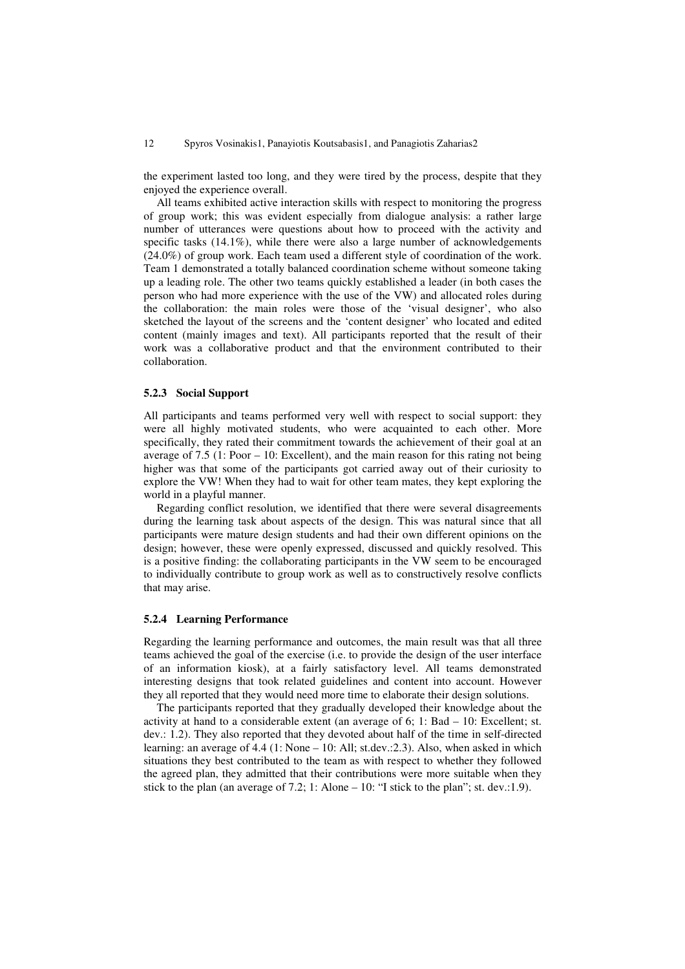the experiment lasted too long, and they were tired by the process, despite that they enjoyed the experience overall.

All teams exhibited active interaction skills with respect to monitoring the progress of group work; this was evident especially from dialogue analysis: a rather large number of utterances were questions about how to proceed with the activity and specific tasks  $(14.1\%)$ , while there were also a large number of acknowledgements (24.0%) of group work. Each team used a different style of coordination of the work. Team 1 demonstrated a totally balanced coordination scheme without someone taking up a leading role. The other two teams quickly established a leader (in both cases the person who had more experience with the use of the VW) and allocated roles during the collaboration: the main roles were those of the 'visual designer', who also sketched the layout of the screens and the 'content designer' who located and edited content (mainly images and text). All participants reported that the result of their work was a collaborative product and that the environment contributed to their collaboration.

#### **5.2.3 Social Support**

All participants and teams performed very well with respect to social support: they were all highly motivated students, who were acquainted to each other. More specifically, they rated their commitment towards the achievement of their goal at an average of 7.5 (1: Poor – 10: Excellent), and the main reason for this rating not being higher was that some of the participants got carried away out of their curiosity to explore the VW! When they had to wait for other team mates, they kept exploring the world in a playful manner.

Regarding conflict resolution, we identified that there were several disagreements during the learning task about aspects of the design. This was natural since that all participants were mature design students and had their own different opinions on the design; however, these were openly expressed, discussed and quickly resolved. This is a positive finding: the collaborating participants in the VW seem to be encouraged to individually contribute to group work as well as to constructively resolve conflicts that may arise.

#### **5.2.4 Learning Performance**

Regarding the learning performance and outcomes, the main result was that all three teams achieved the goal of the exercise (i.e. to provide the design of the user interface of an information kiosk), at a fairly satisfactory level. All teams demonstrated interesting designs that took related guidelines and content into account. However they all reported that they would need more time to elaborate their design solutions.

The participants reported that they gradually developed their knowledge about the activity at hand to a considerable extent (an average of 6; 1: Bad – 10: Excellent; st. dev.: 1.2). They also reported that they devoted about half of the time in self-directed learning: an average of 4.4 (1: None – 10: All; st.dev.:2.3). Also, when asked in which situations they best contributed to the team as with respect to whether they followed the agreed plan, they admitted that their contributions were more suitable when they stick to the plan (an average of 7.2; 1: Alone  $-10$ : "I stick to the plan"; st. dev.:1.9).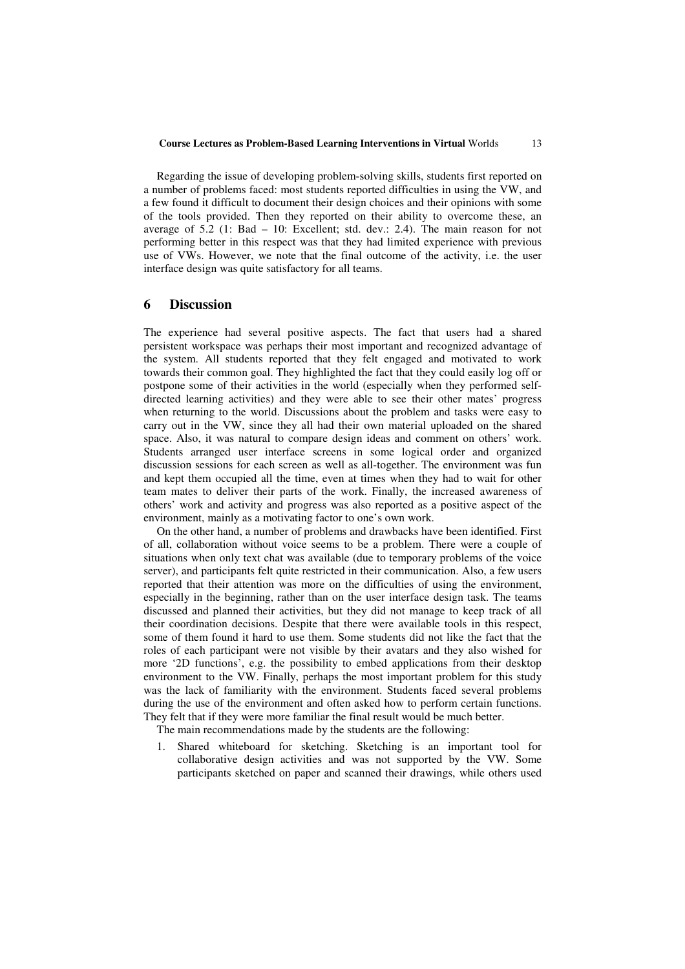#### **Course Lectures as Problem-Based Learning Interventions in Virtual** Worlds 13

Regarding the issue of developing problem-solving skills, students first reported on a number of problems faced: most students reported difficulties in using the VW, and a few found it difficult to document their design choices and their opinions with some of the tools provided. Then they reported on their ability to overcome these, an average of 5.2 (1: Bad – 10: Excellent; std. dev.: 2.4). The main reason for not performing better in this respect was that they had limited experience with previous use of VWs. However, we note that the final outcome of the activity, i.e. the user interface design was quite satisfactory for all teams.

## **6 Discussion**

The experience had several positive aspects. The fact that users had a shared persistent workspace was perhaps their most important and recognized advantage of the system. All students reported that they felt engaged and motivated to work towards their common goal. They highlighted the fact that they could easily log off or postpone some of their activities in the world (especially when they performed selfdirected learning activities) and they were able to see their other mates' progress when returning to the world. Discussions about the problem and tasks were easy to carry out in the VW, since they all had their own material uploaded on the shared space. Also, it was natural to compare design ideas and comment on others' work. Students arranged user interface screens in some logical order and organized discussion sessions for each screen as well as all-together. The environment was fun and kept them occupied all the time, even at times when they had to wait for other team mates to deliver their parts of the work. Finally, the increased awareness of others' work and activity and progress was also reported as a positive aspect of the environment, mainly as a motivating factor to one's own work.

On the other hand, a number of problems and drawbacks have been identified. First of all, collaboration without voice seems to be a problem. There were a couple of situations when only text chat was available (due to temporary problems of the voice server), and participants felt quite restricted in their communication. Also, a few users reported that their attention was more on the difficulties of using the environment, especially in the beginning, rather than on the user interface design task. The teams discussed and planned their activities, but they did not manage to keep track of all their coordination decisions. Despite that there were available tools in this respect, some of them found it hard to use them. Some students did not like the fact that the roles of each participant were not visible by their avatars and they also wished for more '2D functions', e.g. the possibility to embed applications from their desktop environment to the VW. Finally, perhaps the most important problem for this study was the lack of familiarity with the environment. Students faced several problems during the use of the environment and often asked how to perform certain functions. They felt that if they were more familiar the final result would be much better.

The main recommendations made by the students are the following:

1. Shared whiteboard for sketching. Sketching is an important tool for collaborative design activities and was not supported by the VW. Some participants sketched on paper and scanned their drawings, while others used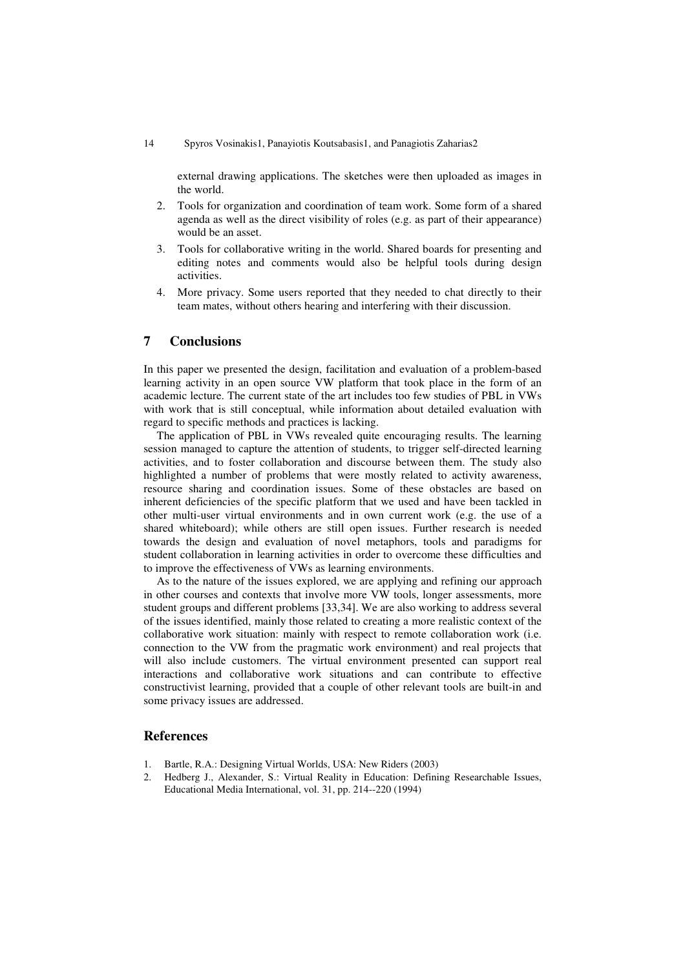external drawing applications. The sketches were then uploaded as images in the world.

- 2. Tools for organization and coordination of team work. Some form of a shared agenda as well as the direct visibility of roles (e.g. as part of their appearance) would be an asset.
- 3. Tools for collaborative writing in the world. Shared boards for presenting and editing notes and comments would also be helpful tools during design activities.
- 4. More privacy. Some users reported that they needed to chat directly to their team mates, without others hearing and interfering with their discussion.

## **7 Conclusions**

In this paper we presented the design, facilitation and evaluation of a problem-based learning activity in an open source VW platform that took place in the form of an academic lecture. The current state of the art includes too few studies of PBL in VWs with work that is still conceptual, while information about detailed evaluation with regard to specific methods and practices is lacking.

The application of PBL in VWs revealed quite encouraging results. The learning session managed to capture the attention of students, to trigger self-directed learning activities, and to foster collaboration and discourse between them. The study also highlighted a number of problems that were mostly related to activity awareness, resource sharing and coordination issues. Some of these obstacles are based on inherent deficiencies of the specific platform that we used and have been tackled in other multi-user virtual environments and in own current work (e.g. the use of a shared whiteboard); while others are still open issues. Further research is needed towards the design and evaluation of novel metaphors, tools and paradigms for student collaboration in learning activities in order to overcome these difficulties and to improve the effectiveness of VWs as learning environments.

As to the nature of the issues explored, we are applying and refining our approach in other courses and contexts that involve more VW tools, longer assessments, more student groups and different problems [33,34]. We are also working to address several of the issues identified, mainly those related to creating a more realistic context of the collaborative work situation: mainly with respect to remote collaboration work (i.e. connection to the VW from the pragmatic work environment) and real projects that will also include customers. The virtual environment presented can support real interactions and collaborative work situations and can contribute to effective constructivist learning, provided that a couple of other relevant tools are built-in and some privacy issues are addressed.

## **References**

- 1. Bartle, R.A.: Designing Virtual Worlds, USA: New Riders (2003)
- 2. Hedberg J., Alexander, S.: Virtual Reality in Education: Defining Researchable Issues, Educational Media International, vol. 31, pp. 214--220 (1994)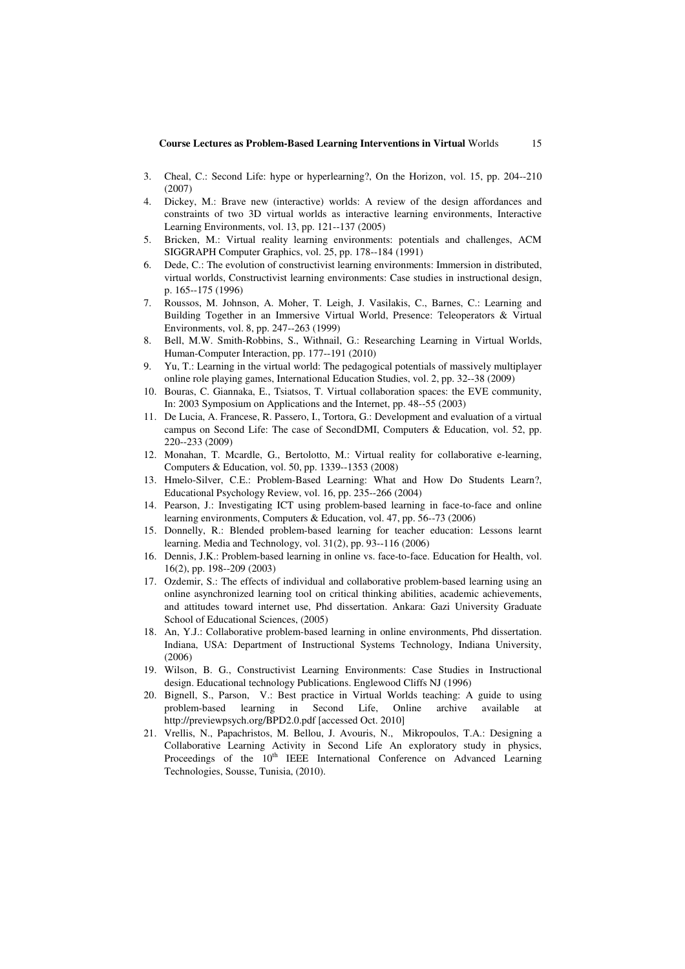- 3. Cheal, C.: Second Life: hype or hyperlearning?, On the Horizon, vol. 15, pp. 204--210 (2007)
- 4. Dickey, M.: Brave new (interactive) worlds: A review of the design affordances and constraints of two 3D virtual worlds as interactive learning environments, Interactive Learning Environments, vol. 13, pp. 121--137 (2005)
- 5. Bricken, M.: Virtual reality learning environments: potentials and challenges, ACM SIGGRAPH Computer Graphics, vol. 25, pp. 178--184 (1991)
- 6. Dede, C.: The evolution of constructivist learning environments: Immersion in distributed, virtual worlds, Constructivist learning environments: Case studies in instructional design, p. 165--175 (1996)
- 7. Roussos, M. Johnson, A. Moher, T. Leigh, J. Vasilakis, C., Barnes, C.: Learning and Building Together in an Immersive Virtual World, Presence: Teleoperators & Virtual Environments, vol. 8, pp. 247--263 (1999)
- 8. Bell, M.W. Smith-Robbins, S., Withnail, G.: Researching Learning in Virtual Worlds, Human-Computer Interaction, pp. 177--191 (2010)
- 9. Yu, T.: Learning in the virtual world: The pedagogical potentials of massively multiplayer online role playing games, International Education Studies, vol. 2, pp. 32--38 (2009)
- 10. Bouras, C. Giannaka, E., Tsiatsos, T. Virtual collaboration spaces: the EVE community, In: 2003 Symposium on Applications and the Internet, pp. 48--55 (2003)
- 11. De Lucia, A. Francese, R. Passero, I., Tortora, G.: Development and evaluation of a virtual campus on Second Life: The case of SecondDMI, Computers & Education, vol. 52, pp. 220--233 (2009)
- 12. Monahan, T. Mcardle, G., Bertolotto, M.: Virtual reality for collaborative e-learning, Computers & Education, vol. 50, pp. 1339--1353 (2008)
- 13. Hmelo-Silver, C.E.: Problem-Based Learning: What and How Do Students Learn?, Educational Psychology Review, vol. 16, pp. 235--266 (2004)
- 14. Pearson, J.: Investigating ICT using problem-based learning in face-to-face and online learning environments, Computers & Education, vol. 47, pp. 56--73 (2006)
- 15. Donnelly, R.: Blended problem-based learning for teacher education: Lessons learnt learning. Media and Technology, vol. 31(2), pp. 93--116 (2006)
- 16. Dennis, J.K.: Problem-based learning in online vs. face-to-face. Education for Health, vol. 16(2), pp. 198--209 (2003)
- 17. Ozdemir, S.: The effects of individual and collaborative problem-based learning using an online asynchronized learning tool on critical thinking abilities, academic achievements, and attitudes toward internet use, Phd dissertation. Ankara: Gazi University Graduate School of Educational Sciences, (2005)
- 18. An, Y.J.: Collaborative problem-based learning in online environments, Phd dissertation. Indiana, USA: Department of Instructional Systems Technology, Indiana University, (2006)
- 19. Wilson, B. G., Constructivist Learning Environments: Case Studies in Instructional design. Educational technology Publications. Englewood Cliffs NJ (1996)
- 20. Bignell, S., Parson, V.: Best practice in Virtual Worlds teaching: A guide to using problem-based learning in Second Life, Online archive available at http://previewpsych.org/BPD2.0.pdf [accessed Oct. 2010]
- 21. Vrellis, N., Papachristos, M. Bellou, J. Avouris, N., Mikropoulos, T.A.: Designing a Collaborative Learning Activity in Second Life An exploratory study in physics, Proceedings of the 10<sup>th</sup> IEEE International Conference on Advanced Learning Technologies, Sousse, Tunisia, (2010).